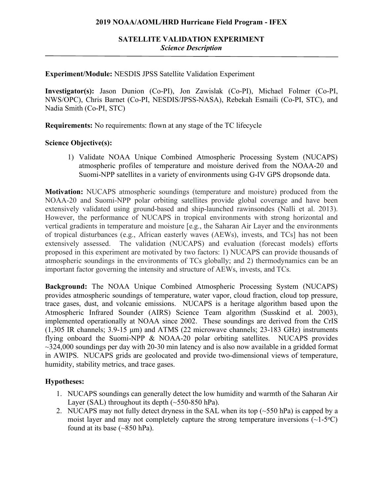## **2019 NOAA/AOML/HRD Hurricane Field Program - IFEX**

**Experiment/Module:** NESDIS JPSS Satellite Validation Experiment

**Investigator(s):** Jason Dunion (Co-PI), Jon Zawislak (Co-PI), Michael Folmer (Co-PI, NWS/OPC), Chris Barnet (Co-PI, NESDIS/JPSS-NASA), Rebekah Esmaili (Co-PI, STC), and Nadia Smith (Co-PI, STC)

**Requirements:** No requirements: flown at any stage of the TC lifecycle

## **Science Objective(s):**

1) Validate NOAA Unique Combined Atmospheric Processing System (NUCAPS) atmospheric profiles of temperature and moisture derived from the NOAA-20 and Suomi-NPP satellites in a variety of environments using G-IV GPS dropsonde data.

**Motivation:** NUCAPS atmospheric soundings (temperature and moisture) produced from the NOAA-20 and Suomi-NPP polar orbiting satellites provide global coverage and have been extensively validated using ground-based and ship-launched rawinsondes (Nalli et al. 2013). However, the performance of NUCAPS in tropical environments with strong horizontal and vertical gradients in temperature and moisture [e.g., the Saharan Air Layer and the environments of tropical disturbances (e.g., African easterly waves (AEWs), invests, and TCs] has not been extensively assessed. The validation (NUCAPS) and evaluation (forecast models) efforts proposed in this experiment are motivated by two factors: 1) NUCAPS can provide thousands of atmospheric soundings in the environments of TCs globally; and 2) thermodynamics can be an important factor governing the intensity and structure of AEWs, invests, and TCs.

**Background:** The NOAA Unique Combined Atmospheric Processing System (NUCAPS) provides atmospheric soundings of temperature, water vapor, cloud fraction, cloud top pressure, trace gases, dust, and volcanic emissions. NUCAPS is a heritage algorithm based upon the Atmospheric Infrared Sounder (AIRS) Science Team algorithm (Susskind et al. 2003), implemented operationally at NOAA since 2002. These soundings are derived from the CrIS (1,305 IR channels; 3.9-15 µm) and ATMS (22 microwave channels; 23-183 GHz) instruments flying onboard the Suomi-NPP & NOAA-20 polar orbiting satellites. NUCAPS provides  $\sim$ 324,000 soundings per day with 20-30 min latency and is also now available in a gridded format in AWIPS. NUCAPS grids are geolocated and provide two-dimensional views of temperature, humidity, stability metrics, and trace gases.

## **Hypotheses:**

- 1. NUCAPS soundings can generally detect the low humidity and warmth of the Saharan Air Layer (SAL) throughout its depth  $(\sim 550-850$  hPa).
- 2. NUCAPS may not fully detect dryness in the SAL when its top (~550 hPa) is capped by a moist layer and may not completely capture the strong temperature inversions  $(\sim1-5\degree C)$ found at its base (~850 hPa).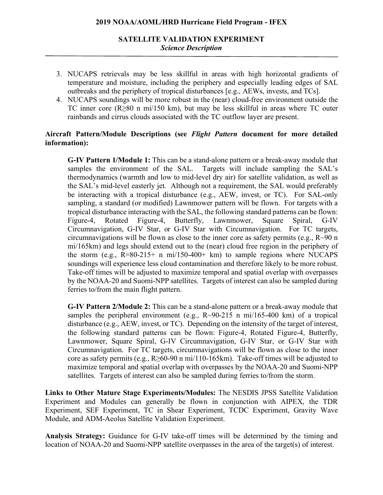# **SATELLITE VALIDATION EXPERIMENT** *Science Description*

- 3. NUCAPS retrievals may be less skillful in areas with high horizontal gradients of temperature and moisture, including the periphery and especially leading edges of SAL outbreaks and the periphery of tropical disturbances [e.g., AEWs, invests, and TCs].
- 4. NUCAPS soundings will be more robust in the (near) cloud-free environment outside the TC inner core (R≥80 n mi/150 km), but may be less skillful in areas where TC outer rainbands and cirrus clouds associated with the TC outflow layer are present.

## **Aircraft Pattern/Module Descriptions (see** *Flight Pattern* **document for more detailed information):**

**G-IV Pattern 1/Module 1:** This can be a stand-alone pattern or a break-away module that samples the environment of the SAL. Targets will include sampling the SAL's thermodynamics (warmth and low to mid-level dry air) for satellite validation, as well as the SAL's mid-level easterly jet. Although not a requirement, the SAL would preferably be interacting with a tropical disturbance (e.g., AEW, invest, or TC). For SAL-only sampling, a standard (or modified) Lawnmower pattern will be flown. For targets with a tropical disturbance interacting with the SAL, the following standard patterns can be flown: Figure-4, Rotated Figure-4, Butterfly, Lawnmower, Square Spiral, G-IV Circumnavigation, G-IV Star, or G-IV Star with Circumnavigation. For TC targets, circumnavigations will be flown as close to the inner core as safety permits (e.g., R~90 n mi/165km) and legs should extend out to the (near) cloud free region in the periphery of the storm (e.g.,  $R=80-215+$  n mi/150-400+ km) to sample regions where NUCAPS soundings will experience less cloud contamination and therefore likely to be more robust. Take-off times will be adjusted to maximize temporal and spatial overlap with overpasses by the NOAA-20 and Suomi-NPP satellites. Targets of interest can also be sampled during ferries to/from the main flight pattern.

**G-IV Pattern 2/Module 2:** This can be a stand-alone pattern or a break-away module that samples the peripheral environment (e.g.,  $R \sim 90-215$  n mi/165-400 km) of a tropical disturbance (e.g., AEW, invest, or TC). Depending on the intensity of the target of interest, the following standard patterns can be flown: Figure-4, Rotated Figure-4, Butterfly, Lawnmower, Square Spiral, G-IV Circumnavigation, G-IV Star, or G-IV Star with Circumnavigation. For TC targets, circumnavigations will be flown as close to the inner core as safety permits (e.g.,  $R \geq 60-90$  n mi/110-165km). Take-off times will be adjusted to maximize temporal and spatial overlap with overpasses by the NOAA-20 and Suomi-NPP satellites. Targets of interest can also be sampled during ferries to/from the storm.

**Links to Other Mature Stage Experiments/Modules:** The NESDIS JPSS Satellite Validation Experiment and Modules can generally be flown in conjunction with AIPEX, the TDR Experiment, SEF Experiment, TC in Shear Experiment, TCDC Experiment, Gravity Wave Module, and ADM-Aeolus Satellite Validation Experiment.

**Analysis Strategy:** Guidance for G-IV take-off times will be determined by the timing and location of NOAA-20 and Suomi-NPP satellite overpasses in the area of the target(s) of interest.